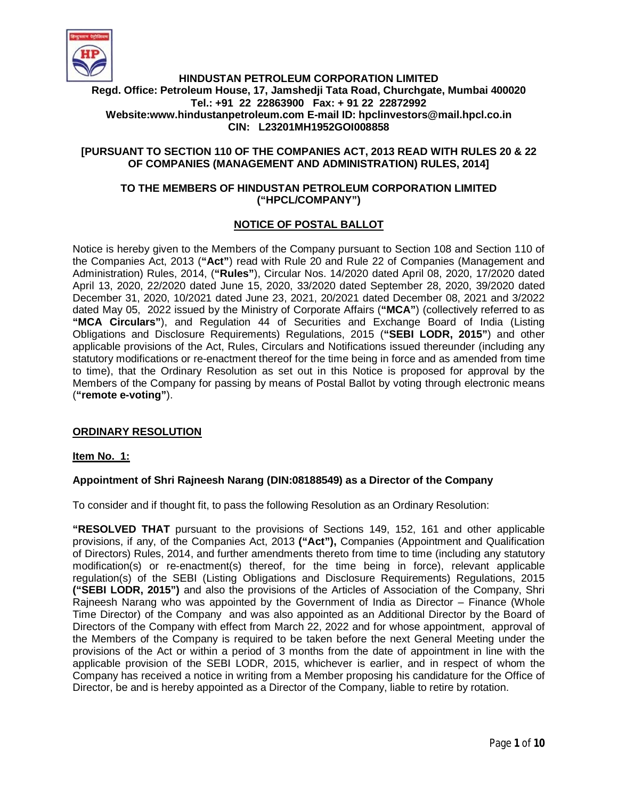

# **HINDUSTAN PETROLEUM CORPORATION LIMITED Regd. Office: Petroleum House, 17, Jamshedji Tata Road, Churchgate, Mumbai 400020 Tel.: +91 22 22863900 Fax: + 91 22 22872992 Website:www.hindustanpetroleum.com E-mail ID: hpclinvestors@mail.hpcl.co.in CIN: L23201MH1952GOI008858**

### **[PURSUANT TO SECTION 110 OF THE COMPANIES ACT, 2013 READ WITH RULES 20 & 22 OF COMPANIES (MANAGEMENT AND ADMINISTRATION) RULES, 2014]**

#### **TO THE MEMBERS OF HINDUSTAN PETROLEUM CORPORATION LIMITED ("HPCL/COMPANY")**

# **NOTICE OF POSTAL BALLOT**

Notice is hereby given to the Members of the Company pursuant to Section 108 and Section 110 of the Companies Act, 2013 (**"Act"**) read with Rule 20 and Rule 22 of Companies (Management and Administration) Rules, 2014, (**"Rules"**), Circular Nos. 14/2020 dated April 08, 2020, 17/2020 dated April 13, 2020, 22/2020 dated June 15, 2020, 33/2020 dated September 28, 2020, 39/2020 dated December 31, 2020, 10/2021 dated June 23, 2021, 20/2021 dated December 08, 2021 and 3/2022 dated May 05, 2022 issued by the Ministry of Corporate Affairs (**"MCA"**) (collectively referred to as **"MCA Circulars"**), and Regulation 44 of Securities and Exchange Board of India (Listing Obligations and Disclosure Requirements) Regulations, 2015 (**"SEBI LODR, 2015"**) and other applicable provisions of the Act, Rules, Circulars and Notifications issued thereunder (including any statutory modifications or re-enactment thereof for the time being in force and as amended from time to time), that the Ordinary Resolution as set out in this Notice is proposed for approval by the Members of the Company for passing by means of Postal Ballot by voting through electronic means (**"remote e-voting"**).

### **ORDINARY RESOLUTION**

#### **Item No. 1:**

### **Appointment of Shri Rajneesh Narang (DIN:08188549) as a Director of the Company**

To consider and if thought fit, to pass the following Resolution as an Ordinary Resolution:

**"RESOLVED THAT** pursuant to the provisions of Sections 149, 152, 161 and other applicable provisions, if any, of the Companies Act, 2013 **("Act"),** Companies (Appointment and Qualification of Directors) Rules, 2014, and further amendments thereto from time to time (including any statutory modification(s) or re-enactment(s) thereof, for the time being in force), relevant applicable regulation(s) of the SEBI (Listing Obligations and Disclosure Requirements) Regulations, 2015 **("SEBI LODR, 2015")** and also the provisions of the Articles of Association of the Company, Shri Rajneesh Narang who was appointed by the Government of India as Director – Finance (Whole Time Director) of the Company and was also appointed as an Additional Director by the Board of Directors of the Company with effect from March 22, 2022 and for whose appointment, approval of the Members of the Company is required to be taken before the next General Meeting under the provisions of the Act or within a period of 3 months from the date of appointment in line with the applicable provision of the SEBI LODR, 2015, whichever is earlier, and in respect of whom the Company has received a notice in writing from a Member proposing his candidature for the Office of Director, be and is hereby appointed as a Director of the Company, liable to retire by rotation.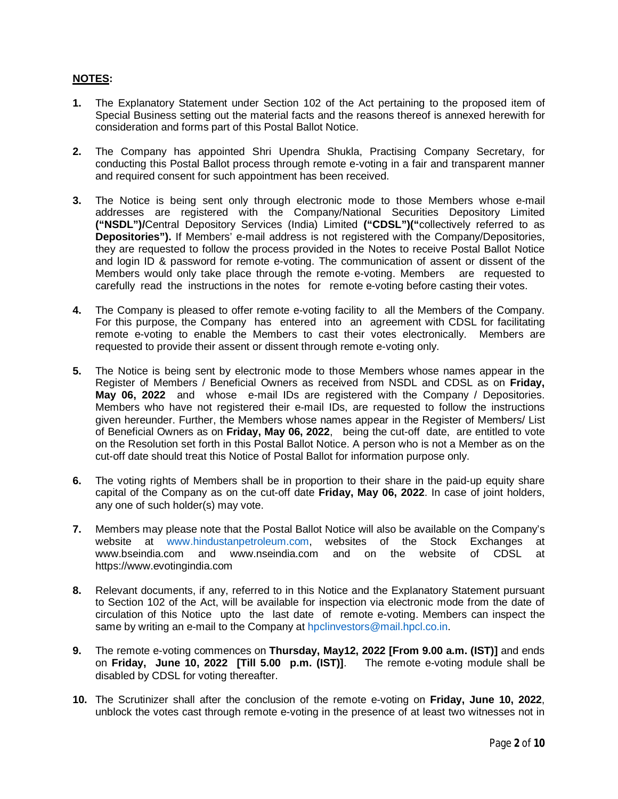### **NOTES:**

- **1.** The Explanatory Statement under Section 102 of the Act pertaining to the proposed item of Special Business setting out the material facts and the reasons thereof is annexed herewith for consideration and forms part of this Postal Ballot Notice.
- **2.** The Company has appointed Shri Upendra Shukla, Practising Company Secretary, for conducting this Postal Ballot process through remote e-voting in a fair and transparent manner and required consent for such appointment has been received.
- **3.** The Notice is being sent only through electronic mode to those Members whose e-mail addresses are registered with the Company/National Securities Depository Limited **("NSDL")/**Central Depository Services (India) Limited **("CDSL")("**collectively referred to as **Depositories").** If Members' e-mail address is not registered with the Company/Depositories, they are requested to follow the process provided in the Notes to receive Postal Ballot Notice and login ID & password for remote e-voting. The communication of assent or dissent of the Members would only take place through the remote e-voting. Members are requested to carefully read the instructions in the notes for remote e-voting before casting their votes.
- **4.** The Company is pleased to offer remote e-voting facility to all the Members of the Company. For this purpose, the Company has entered into an agreement with CDSL for facilitating remote e-voting to enable the Members to cast their votes electronically. Members are requested to provide their assent or dissent through remote e-voting only.
- **5.** The Notice is being sent by electronic mode to those Members whose names appear in the Register of Members / Beneficial Owners as received from NSDL and CDSL as on **Friday, May 06, 2022** and whose e-mail IDs are registered with the Company / Depositories. Members who have not registered their e-mail IDs, are requested to follow the instructions given hereunder. Further, the Members whose names appear in the Register of Members/ List of Beneficial Owners as on **Friday, May 06, 2022**, being the cut-off date, are entitled to vote on the Resolution set forth in this Postal Ballot Notice. A person who is not a Member as on the cut-off date should treat this Notice of Postal Ballot for information purpose only.
- **6.** The voting rights of Members shall be in proportion to their share in the paid-up equity share capital of the Company as on the cut-off date **Friday, May 06, 2022**. In case of joint holders, any one of such holder(s) may vote.
- **7.** Members may please note that the Postal Ballot Notice will also be available on the Company's website at www.hindustanpetroleum.com, websites of the Stock Exchanges at www.bseindia.com and www.nseindia.com and on the website of CDSL at https://www.evotingindia.com
- **8.** Relevant documents, if any, referred to in this Notice and the Explanatory Statement pursuant to Section 102 of the Act, will be available for inspection via electronic mode from the date of circulation of this Notice upto the last date of remote e-voting. Members can inspect the same by writing an e-mail to the Company at hpclinvestors@mail.hpcl.co.in.
- **9.** The remote e-voting commences on **Thursday, May12, 2022 [From 9.00 a.m. (IST)]** and ends on **Friday, June 10, 2022 [Till 5.00 p.m. (IST)]**. The remote e-voting module shall be disabled by CDSL for voting thereafter.
- **10.** The Scrutinizer shall after the conclusion of the remote e-voting on **Friday, June 10, 2022**, unblock the votes cast through remote e-voting in the presence of at least two witnesses not in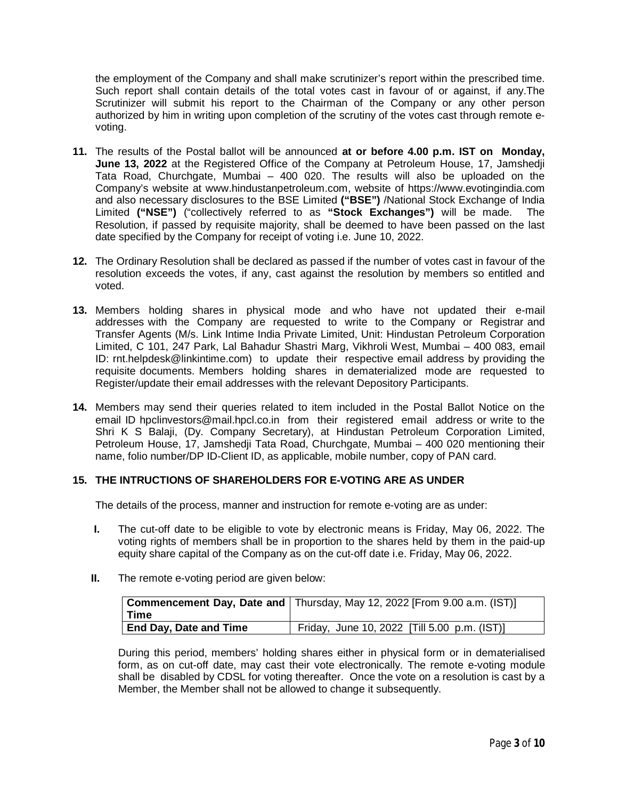the employment of the Company and shall make scrutinizer's report within the prescribed time. Such report shall contain details of the total votes cast in favour of or against, if any.The Scrutinizer will submit his report to the Chairman of the Company or any other person authorized by him in writing upon completion of the scrutiny of the votes cast through remote evoting.

- **11.** The results of the Postal ballot will be announced **at or before 4.00 p.m. IST on Monday, June 13, 2022** at the Registered Office of the Company at Petroleum House, 17, Jamshedji Tata Road, Churchgate, Mumbai – 400 020. The results will also be uploaded on the Company's website at www.hindustanpetroleum.com, website of https://www.evotingindia.com and also necessary disclosures to the BSE Limited **("BSE")** /National Stock Exchange of India Limited **("NSE")** ("collectively referred to as **"Stock Exchanges")** will be made. The Resolution, if passed by requisite majority, shall be deemed to have been passed on the last date specified by the Company for receipt of voting i.e. June 10, 2022.
- **12.** The Ordinary Resolution shall be declared as passed if the number of votes cast in favour of the resolution exceeds the votes, if any, cast against the resolution by members so entitled and voted.
- **13.** Members holding shares in physical mode and who have not updated their e-mail addresses with the Company are requested to write to the Company or Registrar and Transfer Agents (M/s. Link Intime India Private Limited, Unit: Hindustan Petroleum Corporation Limited, C 101, 247 Park, Lal Bahadur Shastri Marg, Vikhroli West, Mumbai – 400 083, email ID: rnt.helpdesk@linkintime.com) to update their respective email address by providing the requisite documents. Members holding shares in dematerialized mode are requested to Register/update their email addresses with the relevant Depository Participants.
- **14.** Members may send their queries related to item included in the Postal Ballot Notice on the email ID hpclinvestors@mail.hpcl.co.in from their registered email address or write to the Shri K S Balaji, (Dy. Company Secretary), at Hindustan Petroleum Corporation Limited, Petroleum House, 17, Jamshedji Tata Road, Churchgate, Mumbai – 400 020 mentioning their name, folio number/DP ID-Client ID, as applicable, mobile number, copy of PAN card.

### **15. THE INTRUCTIONS OF SHAREHOLDERS FOR E-VOTING ARE AS UNDER**

The details of the process, manner and instruction for remote e-voting are as under:

- **I.** The cut-off date to be eligible to vote by electronic means is Friday, May 06, 2022. The voting rights of members shall be in proportion to the shares held by them in the paid-up equity share capital of the Company as on the cut-off date i.e. Friday, May 06, 2022.
- **II.** The remote e-voting period are given below:

|                               | <b>Commencement Day, Date and   Thursday, May 12, 2022 [From 9.00 a.m. (IST)]</b> |
|-------------------------------|-----------------------------------------------------------------------------------|
| l Time                        |                                                                                   |
| <b>End Day, Date and Time</b> | Friday, June 10, 2022 [Till 5.00 p.m. (IST)]                                      |

During this period, members' holding shares either in physical form or in dematerialised form, as on cut-off date, may cast their vote electronically. The remote e-voting module shall be disabled by CDSL for voting thereafter. Once the vote on a resolution is cast by a Member, the Member shall not be allowed to change it subsequently.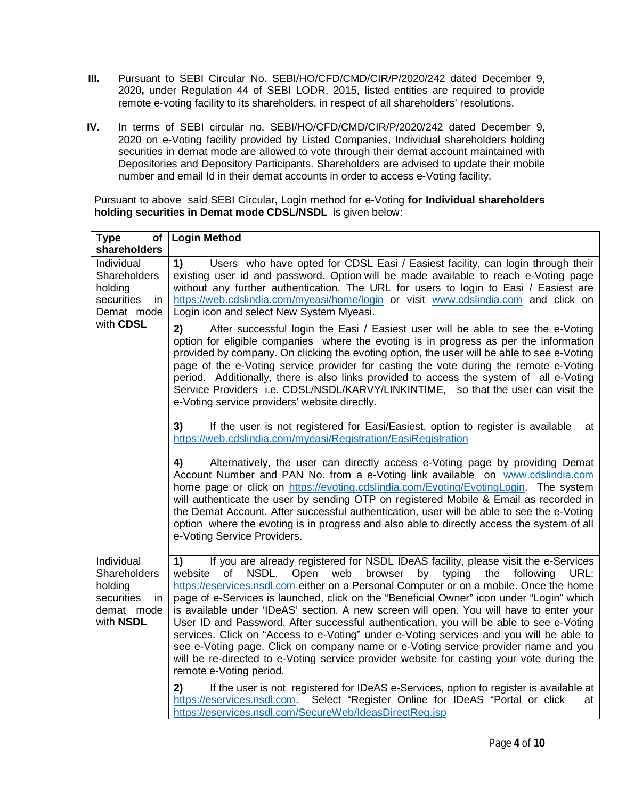- **III.** Pursuant to SEBI Circular No. SEBI/HO/CFD/CMD/CIR/P/2020/242 dated December 9, 2020**,** under Regulation 44 of SEBI LODR, 2015, listed entities are required to provide remote e-voting facility to its shareholders, in respect of all shareholders' resolutions.
- **IV.** In terms of SEBI circular no. SEBI/HO/CFD/CMD/CIR/P/2020/242 dated December 9, 2020 on e-Voting facility provided by Listed Companies, Individual shareholders holding securities in demat mode are allowed to vote through their demat account maintained with Depositories and Depository Participants. Shareholders are advised to update their mobile number and email Id in their demat accounts in order to access e-Voting facility.

Pursuant to above said SEBI Circular**,** Login method for e-Voting **for Individual shareholders holding securities in Demat mode CDSL/NSDL** is given below:

| Type                                                                                  | of   Login Method                                                                                                                                                                                                                                                                                                                                                                                                                                                                                                                                                                                                                                                                                                                                                                                                                                                          |
|---------------------------------------------------------------------------------------|----------------------------------------------------------------------------------------------------------------------------------------------------------------------------------------------------------------------------------------------------------------------------------------------------------------------------------------------------------------------------------------------------------------------------------------------------------------------------------------------------------------------------------------------------------------------------------------------------------------------------------------------------------------------------------------------------------------------------------------------------------------------------------------------------------------------------------------------------------------------------|
| shareholders                                                                          |                                                                                                                                                                                                                                                                                                                                                                                                                                                                                                                                                                                                                                                                                                                                                                                                                                                                            |
| Individual<br>Shareholders<br>holding<br>securities<br>in.<br>Demat mode<br>with CDSL | 1)<br>Users who have opted for CDSL Easi / Easiest facility, can login through their<br>existing user id and password. Option will be made available to reach e-Voting page<br>without any further authentication. The URL for users to login to Easi / Easiest are<br>https://web.cdslindia.com/myeasi/home/login or visit www.cdslindia.com and click on<br>Login icon and select New System Myeasi.                                                                                                                                                                                                                                                                                                                                                                                                                                                                     |
|                                                                                       | 2)<br>After successful login the Easi / Easiest user will be able to see the e-Voting<br>option for eligible companies where the evoting is in progress as per the information<br>provided by company. On clicking the evoting option, the user will be able to see e-Voting<br>page of the e-Voting service provider for casting the vote during the remote e-Voting<br>period. Additionally, there is also links provided to access the system of all e-Voting<br>Service Providers i.e. CDSL/NSDL/KARVY/LINKINTIME, so that the user can visit the<br>e-Voting service providers' website directly.                                                                                                                                                                                                                                                                     |
|                                                                                       | 3)<br>If the user is not registered for Easi/Easiest, option to register is available<br>at<br>https://web.cdslindia.com/myeasi/Registration/EasiRegistration                                                                                                                                                                                                                                                                                                                                                                                                                                                                                                                                                                                                                                                                                                              |
|                                                                                       | 4)<br>Alternatively, the user can directly access e-Voting page by providing Demat<br>Account Number and PAN No. from a e-Voting link available on www.cdslindia.com<br>home page or click on https://evoting.cdslindia.com/Evoting/EvotingLogin. The system<br>will authenticate the user by sending OTP on registered Mobile & Email as recorded in<br>the Demat Account. After successful authentication, user will be able to see the e-Voting<br>option where the evoting is in progress and also able to directly access the system of all<br>e-Voting Service Providers.                                                                                                                                                                                                                                                                                            |
| Individual<br>Shareholders<br>holding<br>securities<br>in.<br>demat mode<br>with NSDL | If you are already registered for NSDL IDeAS facility, please visit the e-Services<br>1)<br>NSDL.<br>of<br>browser<br>by typing<br>website<br>Open<br>web<br>the<br>following<br>URL:<br>https://eservices.nsdl.com either on a Personal Computer or on a mobile. Once the home<br>page of e-Services is launched, click on the "Beneficial Owner" icon under "Login" which<br>is available under 'IDeAS' section. A new screen will open. You will have to enter your<br>User ID and Password. After successful authentication, you will be able to see e-Voting<br>services. Click on "Access to e-Voting" under e-Voting services and you will be able to<br>see e-Voting page. Click on company name or e-Voting service provider name and you<br>will be re-directed to e-Voting service provider website for casting your vote during the<br>remote e-Voting period. |
|                                                                                       | 2)<br>If the user is not registered for IDeAS e-Services, option to register is available at<br>https://eservices.nsdl.com. Select "Register Online for IDeAS "Portal or click<br>at<br>https://eservices.nsdl.com/SecureWeb/IdeasDirectReg.jsp                                                                                                                                                                                                                                                                                                                                                                                                                                                                                                                                                                                                                            |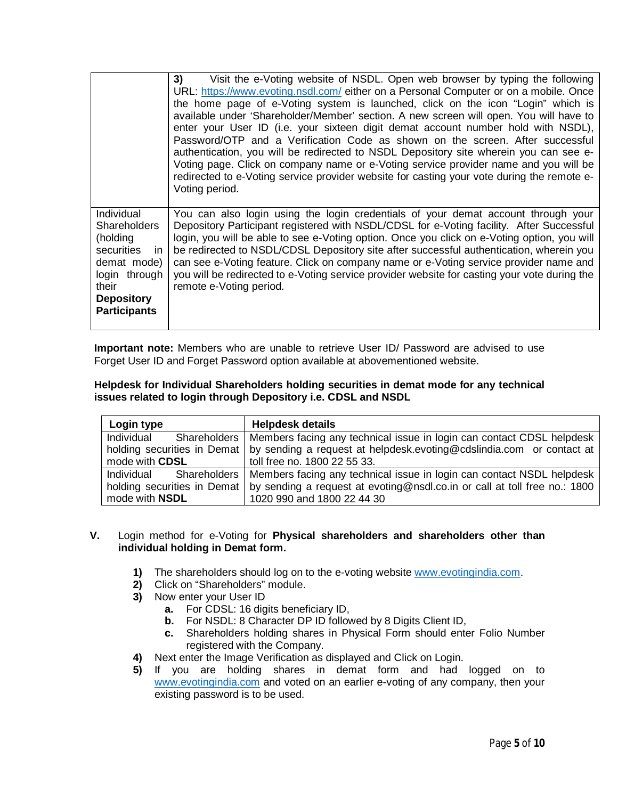|                                                                                                                                                     | Visit the e-Voting website of NSDL. Open web browser by typing the following<br>3)<br>URL: https://www.evoting.nsdl.com/ either on a Personal Computer or on a mobile. Once<br>the home page of e-Voting system is launched, click on the icon "Login" which is<br>available under 'Shareholder/Member' section. A new screen will open. You will have to<br>enter your User ID (i.e. your sixteen digit demat account number hold with NSDL),<br>Password/OTP and a Verification Code as shown on the screen. After successful<br>authentication, you will be redirected to NSDL Depository site wherein you can see e-<br>Voting page. Click on company name or e-Voting service provider name and you will be<br>redirected to e-Voting service provider website for casting your vote during the remote e-<br>Voting period. |
|-----------------------------------------------------------------------------------------------------------------------------------------------------|----------------------------------------------------------------------------------------------------------------------------------------------------------------------------------------------------------------------------------------------------------------------------------------------------------------------------------------------------------------------------------------------------------------------------------------------------------------------------------------------------------------------------------------------------------------------------------------------------------------------------------------------------------------------------------------------------------------------------------------------------------------------------------------------------------------------------------|
| Individual<br><b>Shareholders</b><br>(holding<br>securities in<br>demat mode)<br>login through<br>their<br><b>Depository</b><br><b>Participants</b> | You can also login using the login credentials of your demat account through your<br>Depository Participant registered with NSDL/CDSL for e-Voting facility. After Successful<br>login, you will be able to see e-Voting option. Once you click on e-Voting option, you will<br>be redirected to NSDL/CDSL Depository site after successful authentication, wherein you<br>can see e-Voting feature. Click on company name or e-Voting service provider name and<br>you will be redirected to e-Voting service provider website for casting your vote during the<br>remote e-Voting period.                                                                                                                                                                                                                                      |

**Important note:** Members who are unable to retrieve User ID/ Password are advised to use Forget User ID and Forget Password option available at abovementioned website.

#### **Helpdesk for Individual Shareholders holding securities in demat mode for any technical issues related to login through Depository i.e. CDSL and NSDL**

| Login type                  | <b>Helpdesk details</b>                                                              |
|-----------------------------|--------------------------------------------------------------------------------------|
| Individual                  | Shareholders   Members facing any technical issue in login can contact CDSL helpdesk |
| holding securities in Demat | by sending a request at helpdesk.evoting@cdslindia.com or contact at                 |
| mode with CDSL              | toll free no. 1800 22 55 33.                                                         |
| Individual                  | Shareholders   Members facing any technical issue in login can contact NSDL helpdesk |
| holding securities in Demat | by sending a request at evoting@nsdl.co.in or call at toll free no.: 1800            |
| mode with <b>NSDL</b>       | 1020 990 and 1800 22 44 30                                                           |

### **V.** Login method for e-Voting for **Physical shareholders and shareholders other than individual holding in Demat form.**

- **1)** The shareholders should log on to the e-voting website www.evotingindia.com.
- **2)** Click on "Shareholders" module.
- **3)** Now enter your User ID
	- **a.** For CDSL: 16 digits beneficiary ID,
	- **b.** For NSDL: 8 Character DP ID followed by 8 Digits Client ID,
	- **c.** Shareholders holding shares in Physical Form should enter Folio Number registered with the Company.
- **4)** Next enter the Image Verification as displayed and Click on Login.
- **5)** If you are holding shares in demat form and had logged on to www.evotingindia.com and voted on an earlier e-voting of any company, then your existing password is to be used.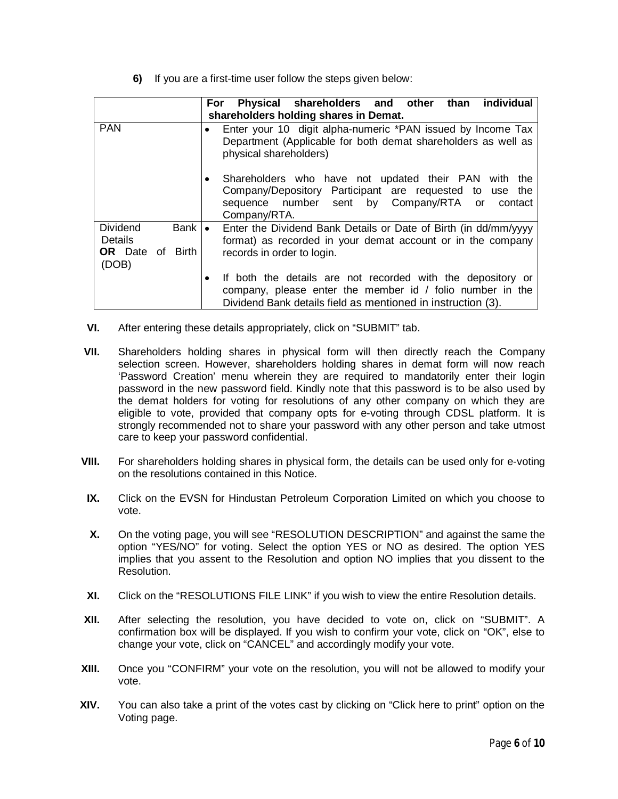**6)** If you are a first-time user follow the steps given below:

|                                                                               | For Physical shareholders and other than individual<br>shareholders holding shares in Demat.                                                                                             |
|-------------------------------------------------------------------------------|------------------------------------------------------------------------------------------------------------------------------------------------------------------------------------------|
| <b>PAN</b>                                                                    | Enter your 10 digit alpha-numeric *PAN issued by Income Tax<br>Department (Applicable for both demat shareholders as well as<br>physical shareholders)                                   |
|                                                                               | Shareholders who have not updated their PAN with the<br>Company/Depository Participant are requested to use the<br>sequence number sent by Company/RTA or contact<br>Company/RTA.        |
| <b>Dividend</b><br><b>Bank</b><br>Details<br><b>OR</b> Date of Birth<br>(DOB) | Enter the Dividend Bank Details or Date of Birth (in dd/mm/yyyy<br>$\bullet$<br>format) as recorded in your demat account or in the company<br>records in order to login.                |
|                                                                               | If both the details are not recorded with the depository or<br>company, please enter the member id / folio number in the<br>Dividend Bank details field as mentioned in instruction (3). |

- **VI.** After entering these details appropriately, click on "SUBMIT" tab.
- **VII.** Shareholders holding shares in physical form will then directly reach the Company selection screen. However, shareholders holding shares in demat form will now reach 'Password Creation' menu wherein they are required to mandatorily enter their login password in the new password field. Kindly note that this password is to be also used by the demat holders for voting for resolutions of any other company on which they are eligible to vote, provided that company opts for e-voting through CDSL platform. It is strongly recommended not to share your password with any other person and take utmost care to keep your password confidential.
- **VIII.** For shareholders holding shares in physical form, the details can be used only for e-voting on the resolutions contained in this Notice.
- **IX.** Click on the EVSN for Hindustan Petroleum Corporation Limited on which you choose to vote.
- **X.** On the voting page, you will see "RESOLUTION DESCRIPTION" and against the same the option "YES/NO" for voting. Select the option YES or NO as desired. The option YES implies that you assent to the Resolution and option NO implies that you dissent to the Resolution.
- **XI.** Click on the "RESOLUTIONS FILE LINK" if you wish to view the entire Resolution details.
- **XII.** After selecting the resolution, you have decided to vote on, click on "SUBMIT". A confirmation box will be displayed. If you wish to confirm your vote, click on "OK", else to change your vote, click on "CANCEL" and accordingly modify your vote.
- **XIII.** Once you "CONFIRM" your vote on the resolution, you will not be allowed to modify your vote.
- **XIV.** You can also take a print of the votes cast by clicking on "Click here to print" option on the Voting page.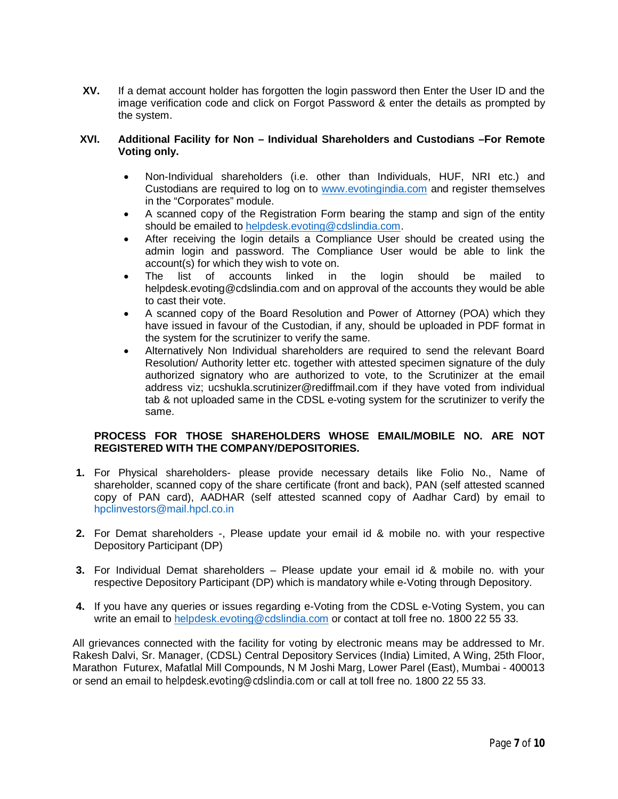**XV.** If a demat account holder has forgotten the login password then Enter the User ID and the image verification code and click on Forgot Password & enter the details as prompted by the system.

#### **XVI. Additional Facility for Non – Individual Shareholders and Custodians –For Remote Voting only.**

- Non-Individual shareholders (i.e. other than Individuals, HUF, NRI etc.) and Custodians are required to log on to www.evotingindia.com and register themselves in the "Corporates" module.
- A scanned copy of the Registration Form bearing the stamp and sign of the entity should be emailed to helpdesk.evoting@cdslindia.com.
- After receiving the login details a Compliance User should be created using the admin login and password. The Compliance User would be able to link the account(s) for which they wish to vote on.
- The list of accounts linked in the login should be mailed to helpdesk.evoting@cdslindia.com and on approval of the accounts they would be able to cast their vote.
- A scanned copy of the Board Resolution and Power of Attorney (POA) which they have issued in favour of the Custodian, if any, should be uploaded in PDF format in the system for the scrutinizer to verify the same.
- Alternatively Non Individual shareholders are required to send the relevant Board Resolution/ Authority letter etc. together with attested specimen signature of the duly authorized signatory who are authorized to vote, to the Scrutinizer at the email address viz; ucshukla.scrutinizer@rediffmail.com if they have voted from individual tab & not uploaded same in the CDSL e-voting system for the scrutinizer to verify the same.

### **PROCESS FOR THOSE SHAREHOLDERS WHOSE EMAIL/MOBILE NO. ARE NOT REGISTERED WITH THE COMPANY/DEPOSITORIES.**

- **1.** For Physical shareholders- please provide necessary details like Folio No., Name of shareholder, scanned copy of the share certificate (front and back), PAN (self attested scanned copy of PAN card), AADHAR (self attested scanned copy of Aadhar Card) by email to hpclinvestors@mail.hpcl.co.in
- **2.** For Demat shareholders -, Please update your email id & mobile no. with your respective Depository Participant (DP)
- **3.** For Individual Demat shareholders Please update your email id & mobile no. with your respective Depository Participant (DP) which is mandatory while e-Voting through Depository.
- **4.** If you have any queries or issues regarding e-Voting from the CDSL e-Voting System, you can write an email to helpdesk.evoting@cdslindia.com or contact at toll free no. 1800 22 55 33.

All grievances connected with the facility for voting by electronic means may be addressed to Mr. Rakesh Dalvi, Sr. Manager, (CDSL) Central Depository Services (India) Limited, A Wing, 25th Floor, Marathon Futurex, Mafatlal Mill Compounds, N M Joshi Marg, Lower Parel (East), Mumbai - 400013 or send an email to helpdesk.evoting@cdslindia.com or call at toll free no. 1800 22 55 33.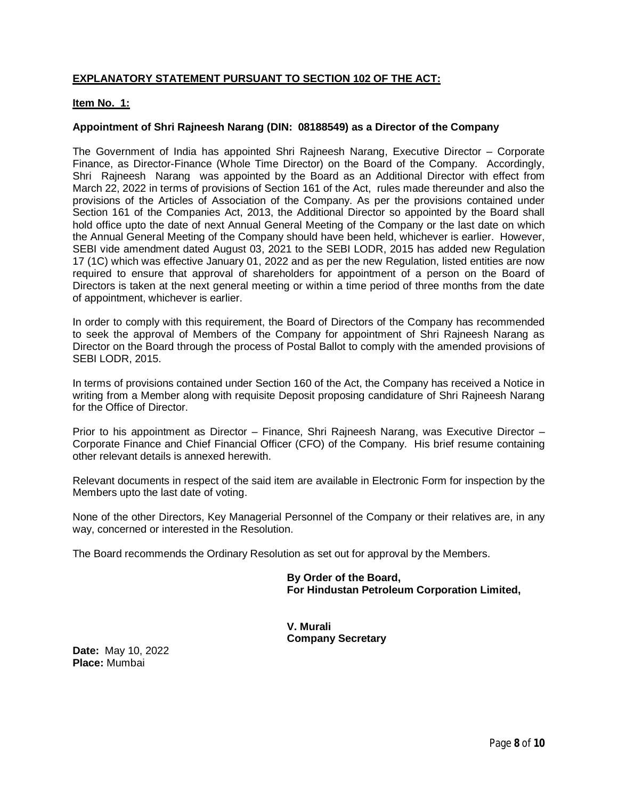# **EXPLANATORY STATEMENT PURSUANT TO SECTION 102 OF THE ACT:**

#### **Item No. 1:**

#### **Appointment of Shri Rajneesh Narang (DIN: 08188549) as a Director of the Company**

The Government of India has appointed Shri Rajneesh Narang, Executive Director – Corporate Finance, as Director-Finance (Whole Time Director) on the Board of the Company. Accordingly, Shri Rajneesh Narang was appointed by the Board as an Additional Director with effect from March 22, 2022 in terms of provisions of Section 161 of the Act, rules made thereunder and also the provisions of the Articles of Association of the Company. As per the provisions contained under Section 161 of the Companies Act, 2013, the Additional Director so appointed by the Board shall hold office upto the date of next Annual General Meeting of the Company or the last date on which the Annual General Meeting of the Company should have been held, whichever is earlier. However, SEBI vide amendment dated August 03, 2021 to the SEBI LODR, 2015 has added new Regulation 17 (1C) which was effective January 01, 2022 and as per the new Regulation, listed entities are now required to ensure that approval of shareholders for appointment of a person on the Board of Directors is taken at the next general meeting or within a time period of three months from the date of appointment, whichever is earlier.

In order to comply with this requirement, the Board of Directors of the Company has recommended to seek the approval of Members of the Company for appointment of Shri Rajneesh Narang as Director on the Board through the process of Postal Ballot to comply with the amended provisions of SEBI LODR, 2015.

In terms of provisions contained under Section 160 of the Act, the Company has received a Notice in writing from a Member along with requisite Deposit proposing candidature of Shri Rajneesh Narang for the Office of Director.

Prior to his appointment as Director – Finance, Shri Rajneesh Narang, was Executive Director – Corporate Finance and Chief Financial Officer (CFO) of the Company. His brief resume containing other relevant details is annexed herewith.

Relevant documents in respect of the said item are available in Electronic Form for inspection by the Members upto the last date of voting.

None of the other Directors, Key Managerial Personnel of the Company or their relatives are, in any way, concerned or interested in the Resolution.

The Board recommends the Ordinary Resolution as set out for approval by the Members.

**By Order of the Board, For Hindustan Petroleum Corporation Limited,**

**V. Murali Company Secretary**

**Date:** May 10, 2022 **Place:** Mumbai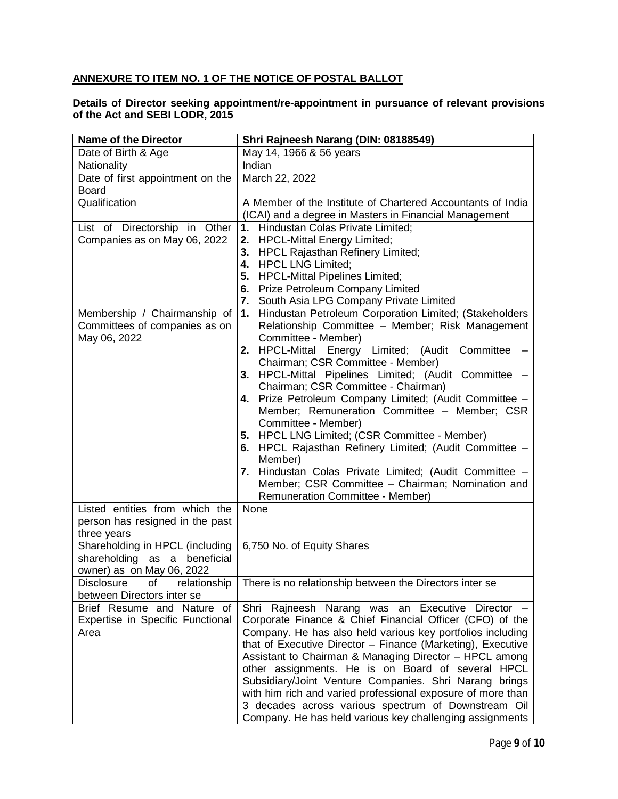# **ANNEXURE TO ITEM NO. 1 OF THE NOTICE OF POSTAL BALLOT**

#### **Details of Director seeking appointment/re-appointment in pursuance of relevant provisions of the Act and SEBI LODR, 2015**

| <b>Name of the Director</b>                      | Shri Rajneesh Narang (DIN: 08188549)                                                                                      |
|--------------------------------------------------|---------------------------------------------------------------------------------------------------------------------------|
| Date of Birth & Age                              | May 14, 1966 & 56 years                                                                                                   |
| Nationality                                      | Indian                                                                                                                    |
| Date of first appointment on the<br><b>Board</b> | March 22, 2022                                                                                                            |
| Qualification                                    | A Member of the Institute of Chartered Accountants of India                                                               |
|                                                  | (ICAI) and a degree in Masters in Financial Management                                                                    |
| List of Directorship in Other                    | 1. Hindustan Colas Private Limited;                                                                                       |
| Companies as on May 06, 2022                     | <b>HPCL-Mittal Energy Limited;</b><br>2.                                                                                  |
|                                                  | <b>HPCL Rajasthan Refinery Limited;</b><br>3.                                                                             |
|                                                  | <b>HPCL LNG Limited;</b><br>4.                                                                                            |
|                                                  | <b>HPCL-Mittal Pipelines Limited;</b><br>5.                                                                               |
|                                                  | 6. Prize Petroleum Company Limited                                                                                        |
| Membership / Chairmanship of                     | 7. South Asia LPG Company Private Limited<br>1. Hindustan Petroleum Corporation Limited; (Stakeholders                    |
| Committees of companies as on                    | Relationship Committee - Member; Risk Management                                                                          |
| May 06, 2022                                     | Committee - Member)                                                                                                       |
|                                                  | 2. HPCL-Mittal Energy Limited; (Audit Committee                                                                           |
|                                                  | Chairman; CSR Committee - Member)                                                                                         |
|                                                  | 3. HPCL-Mittal Pipelines Limited; (Audit Committee -                                                                      |
|                                                  | Chairman; CSR Committee - Chairman)                                                                                       |
|                                                  | 4. Prize Petroleum Company Limited; (Audit Committee -                                                                    |
|                                                  | Member; Remuneration Committee - Member; CSR                                                                              |
|                                                  | Committee - Member)                                                                                                       |
|                                                  | 5. HPCL LNG Limited; (CSR Committee - Member)                                                                             |
|                                                  | 6. HPCL Rajasthan Refinery Limited; (Audit Committee -                                                                    |
|                                                  | Member)<br>7. Hindustan Colas Private Limited; (Audit Committee -                                                         |
|                                                  | Member; CSR Committee - Chairman; Nomination and                                                                          |
|                                                  | <b>Remuneration Committee - Member)</b>                                                                                   |
| Listed entities from which the                   | None                                                                                                                      |
| person has resigned in the past                  |                                                                                                                           |
| three years                                      |                                                                                                                           |
| Shareholding in HPCL (including                  | 6,750 No. of Equity Shares                                                                                                |
| shareholding<br>beneficial<br>as a               |                                                                                                                           |
| owner) as on May 06, 2022                        |                                                                                                                           |
| relationship<br>Disclosure of                    | There is no relationship between the Directors inter se                                                                   |
| between Directors inter se                       |                                                                                                                           |
| Brief Resume and Nature of                       | Shri Rajneesh Narang was an Executive Director -                                                                          |
| Expertise in Specific Functional                 | Corporate Finance & Chief Financial Officer (CFO) of the                                                                  |
| Area                                             | Company. He has also held various key portfolios including<br>that of Executive Director - Finance (Marketing), Executive |
|                                                  | Assistant to Chairman & Managing Director - HPCL among                                                                    |
|                                                  | other assignments. He is on Board of several HPCL                                                                         |
|                                                  | Subsidiary/Joint Venture Companies. Shri Narang brings                                                                    |
|                                                  | with him rich and varied professional exposure of more than                                                               |
|                                                  | 3 decades across various spectrum of Downstream Oil                                                                       |
|                                                  | Company. He has held various key challenging assignments                                                                  |